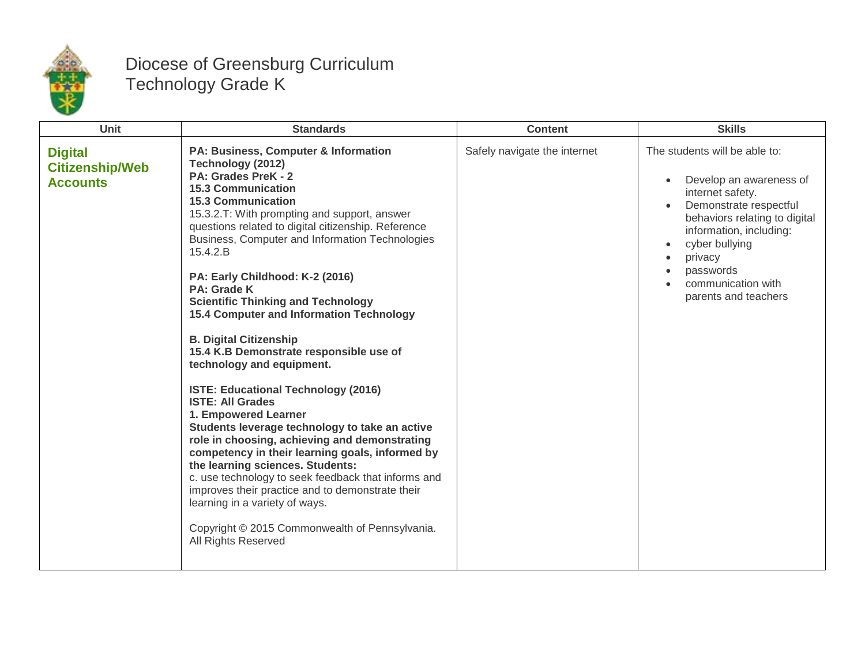

## Diocese of Greensburg Curriculum Technology Grade K

| <b>Unit</b>                                                 | <b>Standards</b>                                                                                                                                                                                                                                                                                                                                                                                                                                                                                                                                                                                                                                                                                                                                                                                                                                                                                                                                                                                                                                                                      | <b>Content</b>               | <b>Skills</b>                                                                                                                                                                                                                                              |
|-------------------------------------------------------------|---------------------------------------------------------------------------------------------------------------------------------------------------------------------------------------------------------------------------------------------------------------------------------------------------------------------------------------------------------------------------------------------------------------------------------------------------------------------------------------------------------------------------------------------------------------------------------------------------------------------------------------------------------------------------------------------------------------------------------------------------------------------------------------------------------------------------------------------------------------------------------------------------------------------------------------------------------------------------------------------------------------------------------------------------------------------------------------|------------------------------|------------------------------------------------------------------------------------------------------------------------------------------------------------------------------------------------------------------------------------------------------------|
| <b>Digital</b><br><b>Citizenship/Web</b><br><b>Accounts</b> | PA: Business, Computer & Information<br>Technology (2012)<br>PA: Grades PreK - 2<br><b>15.3 Communication</b><br><b>15.3 Communication</b><br>15.3.2.T: With prompting and support, answer<br>questions related to digital citizenship. Reference<br>Business, Computer and Information Technologies<br>15.4.2.B<br>PA: Early Childhood: K-2 (2016)<br><b>PA: Grade K</b><br><b>Scientific Thinking and Technology</b><br>15.4 Computer and Information Technology<br><b>B. Digital Citizenship</b><br>15.4 K.B Demonstrate responsible use of<br>technology and equipment.<br>ISTE: Educational Technology (2016)<br><b>ISTE: All Grades</b><br>1. Empowered Learner<br>Students leverage technology to take an active<br>role in choosing, achieving and demonstrating<br>competency in their learning goals, informed by<br>the learning sciences. Students:<br>c. use technology to seek feedback that informs and<br>improves their practice and to demonstrate their<br>learning in a variety of ways.<br>Copyright © 2015 Commonwealth of Pennsylvania.<br>All Rights Reserved | Safely navigate the internet | The students will be able to:<br>Develop an awareness of<br>internet safety.<br>Demonstrate respectful<br>behaviors relating to digital<br>information, including:<br>cyber bullying<br>privacy<br>passwords<br>communication with<br>parents and teachers |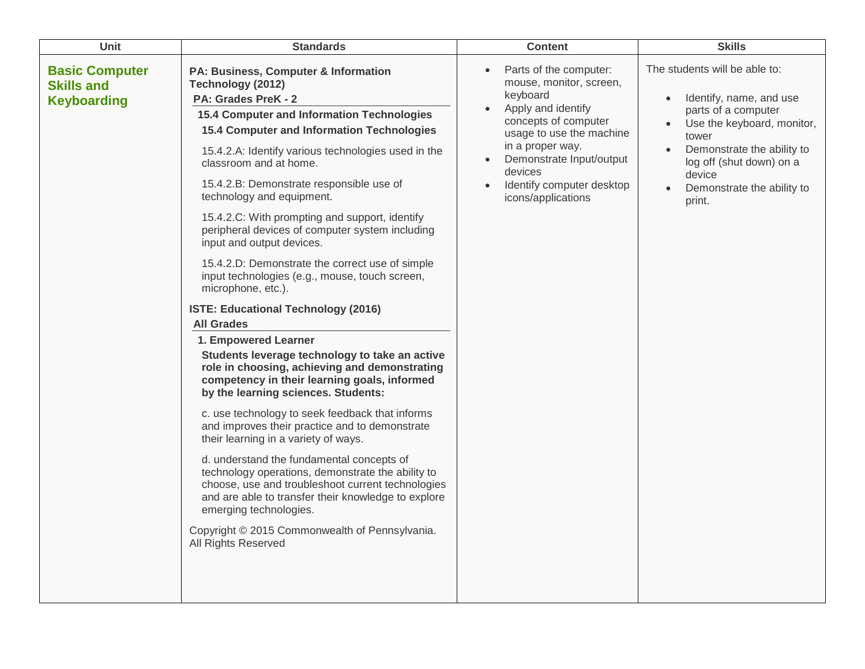| Unit                                                             | <b>Standards</b>                                                                                                                                                                                                                                                                                                                                                                                                                                                                                                                                                                                                                                                                                                                                                                                                                                                                                                                                                                                                                                                                                                                                                                                                                                                                                                                                | <b>Content</b>                                                                                                                                                                                                                                                                                            | <b>Skills</b>                                                                                                                                                                                                                                                |
|------------------------------------------------------------------|-------------------------------------------------------------------------------------------------------------------------------------------------------------------------------------------------------------------------------------------------------------------------------------------------------------------------------------------------------------------------------------------------------------------------------------------------------------------------------------------------------------------------------------------------------------------------------------------------------------------------------------------------------------------------------------------------------------------------------------------------------------------------------------------------------------------------------------------------------------------------------------------------------------------------------------------------------------------------------------------------------------------------------------------------------------------------------------------------------------------------------------------------------------------------------------------------------------------------------------------------------------------------------------------------------------------------------------------------|-----------------------------------------------------------------------------------------------------------------------------------------------------------------------------------------------------------------------------------------------------------------------------------------------------------|--------------------------------------------------------------------------------------------------------------------------------------------------------------------------------------------------------------------------------------------------------------|
| <b>Basic Computer</b><br><b>Skills and</b><br><b>Keyboarding</b> | PA: Business, Computer & Information<br>Technology (2012)<br>PA: Grades PreK - 2<br>15.4 Computer and Information Technologies<br>15.4 Computer and Information Technologies<br>15.4.2.A: Identify various technologies used in the<br>classroom and at home.<br>15.4.2.B: Demonstrate responsible use of<br>technology and equipment.<br>15.4.2.C: With prompting and support, identify<br>peripheral devices of computer system including<br>input and output devices.<br>15.4.2.D: Demonstrate the correct use of simple<br>input technologies (e.g., mouse, touch screen,<br>microphone, etc.).<br>ISTE: Educational Technology (2016)<br><b>All Grades</b><br>1. Empowered Learner<br>Students leverage technology to take an active<br>role in choosing, achieving and demonstrating<br>competency in their learning goals, informed<br>by the learning sciences. Students:<br>c. use technology to seek feedback that informs<br>and improves their practice and to demonstrate<br>their learning in a variety of ways.<br>d. understand the fundamental concepts of<br>technology operations, demonstrate the ability to<br>choose, use and troubleshoot current technologies<br>and are able to transfer their knowledge to explore<br>emerging technologies.<br>Copyright © 2015 Commonwealth of Pennsylvania.<br>All Rights Reserved | Parts of the computer:<br>$\bullet$<br>mouse, monitor, screen,<br>keyboard<br>Apply and identify<br>$\bullet$<br>concepts of computer<br>usage to use the machine<br>in a proper way.<br>Demonstrate Input/output<br>$\bullet$<br>devices<br>Identify computer desktop<br>$\bullet$<br>icons/applications | The students will be able to:<br>Identify, name, and use<br>$\bullet$<br>parts of a computer<br>Use the keyboard, monitor,<br>$\bullet$<br>tower<br>Demonstrate the ability to<br>log off (shut down) on a<br>device<br>Demonstrate the ability to<br>print. |
|                                                                  |                                                                                                                                                                                                                                                                                                                                                                                                                                                                                                                                                                                                                                                                                                                                                                                                                                                                                                                                                                                                                                                                                                                                                                                                                                                                                                                                                 |                                                                                                                                                                                                                                                                                                           |                                                                                                                                                                                                                                                              |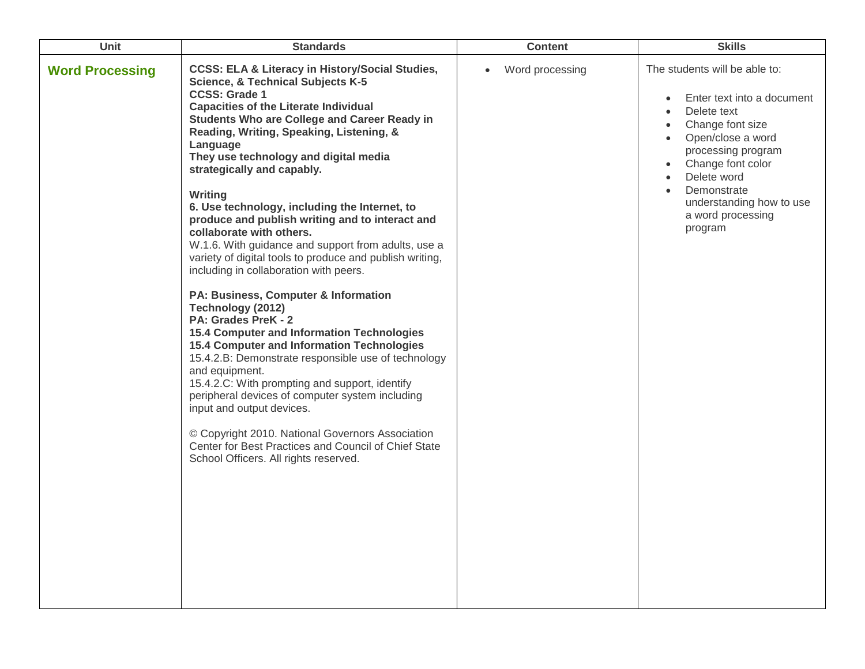| Unit                   | <b>Standards</b>                                                                                                                                                                                                                                                                                                                                                                                                                                                                                                                                                                                                                                                                                                                                                                                                                                                                                                                                                                                                                                                                                                                                                                                                                        | <b>Content</b>               | <b>Skills</b>                                                                                                                                                                                                                                                                      |
|------------------------|-----------------------------------------------------------------------------------------------------------------------------------------------------------------------------------------------------------------------------------------------------------------------------------------------------------------------------------------------------------------------------------------------------------------------------------------------------------------------------------------------------------------------------------------------------------------------------------------------------------------------------------------------------------------------------------------------------------------------------------------------------------------------------------------------------------------------------------------------------------------------------------------------------------------------------------------------------------------------------------------------------------------------------------------------------------------------------------------------------------------------------------------------------------------------------------------------------------------------------------------|------------------------------|------------------------------------------------------------------------------------------------------------------------------------------------------------------------------------------------------------------------------------------------------------------------------------|
| <b>Word Processing</b> | <b>CCSS: ELA &amp; Literacy in History/Social Studies,</b><br><b>Science, &amp; Technical Subjects K-5</b><br><b>CCSS: Grade 1</b><br><b>Capacities of the Literate Individual</b><br><b>Students Who are College and Career Ready in</b><br>Reading, Writing, Speaking, Listening, &<br>Language<br>They use technology and digital media<br>strategically and capably.<br>Writing<br>6. Use technology, including the Internet, to<br>produce and publish writing and to interact and<br>collaborate with others.<br>W.1.6. With guidance and support from adults, use a<br>variety of digital tools to produce and publish writing,<br>including in collaboration with peers.<br>PA: Business, Computer & Information<br>Technology (2012)<br>PA: Grades PreK - 2<br>15.4 Computer and Information Technologies<br><b>15.4 Computer and Information Technologies</b><br>15.4.2.B: Demonstrate responsible use of technology<br>and equipment.<br>15.4.2.C: With prompting and support, identify<br>peripheral devices of computer system including<br>input and output devices.<br>© Copyright 2010. National Governors Association<br>Center for Best Practices and Council of Chief State<br>School Officers. All rights reserved. | Word processing<br>$\bullet$ | The students will be able to:<br>Enter text into a document<br>$\bullet$<br>Delete text<br>Change font size<br>Open/close a word<br>processing program<br>Change font color<br>$\bullet$<br>Delete word<br>Demonstrate<br>understanding how to use<br>a word processing<br>program |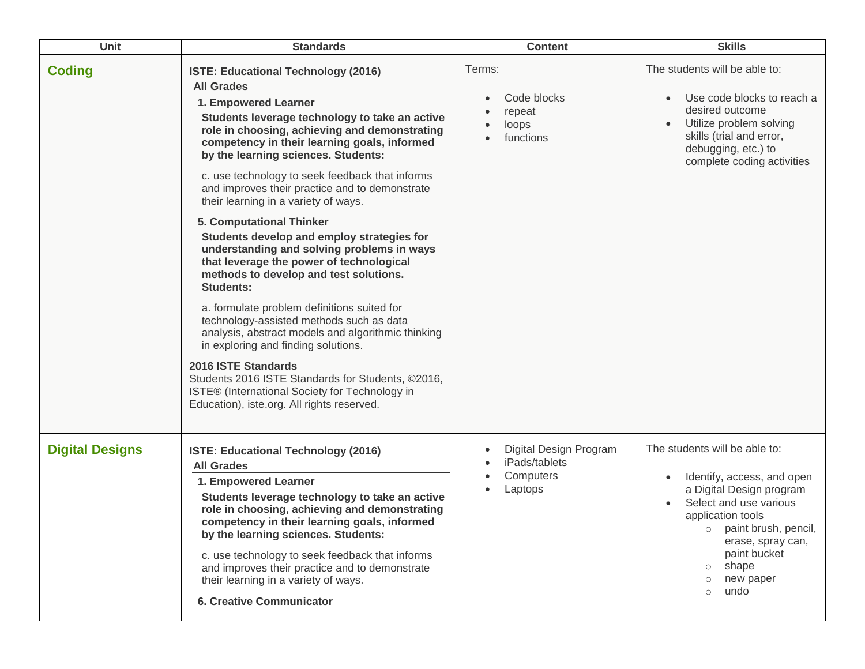| <b>Unit</b>            | <b>Standards</b>                                                                                                                                                                                                                                                                                                                                                                                                                                                                                                                                                                                                                                                                                                                                                                                                                                                                                                                                                                                                              | <b>Content</b>                                                               | <b>Skills</b>                                                                                                                                                                                                                                                        |
|------------------------|-------------------------------------------------------------------------------------------------------------------------------------------------------------------------------------------------------------------------------------------------------------------------------------------------------------------------------------------------------------------------------------------------------------------------------------------------------------------------------------------------------------------------------------------------------------------------------------------------------------------------------------------------------------------------------------------------------------------------------------------------------------------------------------------------------------------------------------------------------------------------------------------------------------------------------------------------------------------------------------------------------------------------------|------------------------------------------------------------------------------|----------------------------------------------------------------------------------------------------------------------------------------------------------------------------------------------------------------------------------------------------------------------|
| <b>Coding</b>          | ISTE: Educational Technology (2016)<br><b>All Grades</b><br>1. Empowered Learner<br>Students leverage technology to take an active<br>role in choosing, achieving and demonstrating<br>competency in their learning goals, informed<br>by the learning sciences. Students:<br>c. use technology to seek feedback that informs<br>and improves their practice and to demonstrate<br>their learning in a variety of ways.<br>5. Computational Thinker<br>Students develop and employ strategies for<br>understanding and solving problems in ways<br>that leverage the power of technological<br>methods to develop and test solutions.<br><b>Students:</b><br>a. formulate problem definitions suited for<br>technology-assisted methods such as data<br>analysis, abstract models and algorithmic thinking<br>in exploring and finding solutions.<br>2016 ISTE Standards<br>Students 2016 ISTE Standards for Students, ©2016,<br>ISTE® (International Society for Technology in<br>Education), iste.org. All rights reserved. | Terms:<br>Code blocks<br>$\bullet$<br>repeat<br>loops<br>functions           | The students will be able to:<br>Use code blocks to reach a<br>desired outcome<br>Utilize problem solving<br>skills (trial and error,<br>debugging, etc.) to<br>complete coding activities                                                                           |
| <b>Digital Designs</b> | ISTE: Educational Technology (2016)<br><b>All Grades</b><br>1. Empowered Learner<br>Students leverage technology to take an active<br>role in choosing, achieving and demonstrating<br>competency in their learning goals, informed<br>by the learning sciences. Students:<br>c. use technology to seek feedback that informs<br>and improves their practice and to demonstrate<br>their learning in a variety of ways.<br><b>6. Creative Communicator</b>                                                                                                                                                                                                                                                                                                                                                                                                                                                                                                                                                                    | Digital Design Program<br>$\bullet$<br>iPads/tablets<br>Computers<br>Laptops | The students will be able to:<br>Identify, access, and open<br>a Digital Design program<br>Select and use various<br>application tools<br>o paint brush, pencil,<br>erase, spray can,<br>paint bucket<br>shape<br>$\circ$<br>new paper<br>$\circ$<br>undo<br>$\circ$ |